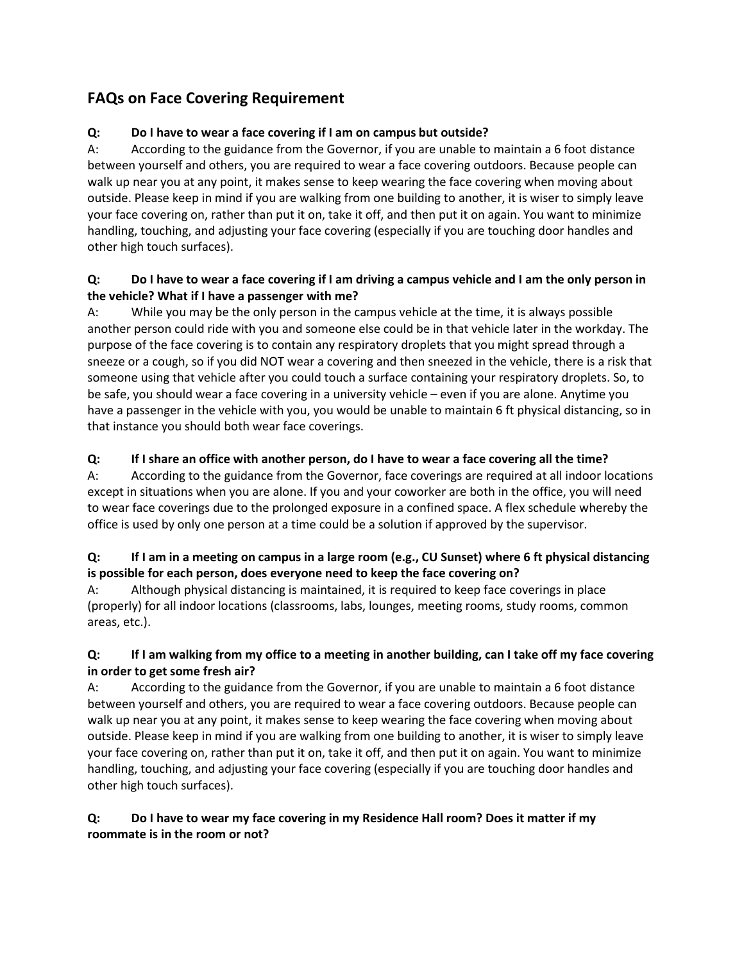# **FAQs on Face Covering Requirement**

## **Q: Do I have to wear a face covering if I am on campus but outside?**

A: According to the guidance from the Governor, if you are unable to maintain a 6 foot distance between yourself and others, you are required to wear a face covering outdoors. Because people can walk up near you at any point, it makes sense to keep wearing the face covering when moving about outside. Please keep in mind if you are walking from one building to another, it is wiser to simply leave your face covering on, rather than put it on, take it off, and then put it on again. You want to minimize handling, touching, and adjusting your face covering (especially if you are touching door handles and other high touch surfaces).

#### **Q: Do I have to wear a face covering if I am driving a campus vehicle and I am the only person in the vehicle? What if I have a passenger with me?**

A: While you may be the only person in the campus vehicle at the time, it is always possible another person could ride with you and someone else could be in that vehicle later in the workday. The purpose of the face covering is to contain any respiratory droplets that you might spread through a sneeze or a cough, so if you did NOT wear a covering and then sneezed in the vehicle, there is a risk that someone using that vehicle after you could touch a surface containing your respiratory droplets. So, to be safe, you should wear a face covering in a university vehicle – even if you are alone. Anytime you have a passenger in the vehicle with you, you would be unable to maintain 6 ft physical distancing, so in that instance you should both wear face coverings.

#### **Q: If I share an office with another person, do I have to wear a face covering all the time?**

A: According to the guidance from the Governor, face coverings are required at all indoor locations except in situations when you are alone. If you and your coworker are both in the office, you will need to wear face coverings due to the prolonged exposure in a confined space. A flex schedule whereby the office is used by only one person at a time could be a solution if approved by the supervisor.

#### **Q: If I am in a meeting on campus in a large room (e.g., CU Sunset) where 6 ft physical distancing is possible for each person, does everyone need to keep the face covering on?**

A: Although physical distancing is maintained, it is required to keep face coverings in place (properly) for all indoor locations (classrooms, labs, lounges, meeting rooms, study rooms, common areas, etc.).

#### **Q: If I am walking from my office to a meeting in another building, can I take off my face covering in order to get some fresh air?**

A: According to the guidance from the Governor, if you are unable to maintain a 6 foot distance between yourself and others, you are required to wear a face covering outdoors. Because people can walk up near you at any point, it makes sense to keep wearing the face covering when moving about outside. Please keep in mind if you are walking from one building to another, it is wiser to simply leave your face covering on, rather than put it on, take it off, and then put it on again. You want to minimize handling, touching, and adjusting your face covering (especially if you are touching door handles and other high touch surfaces).

## **Q: Do I have to wear my face covering in my Residence Hall room? Does it matter if my roommate is in the room or not?**